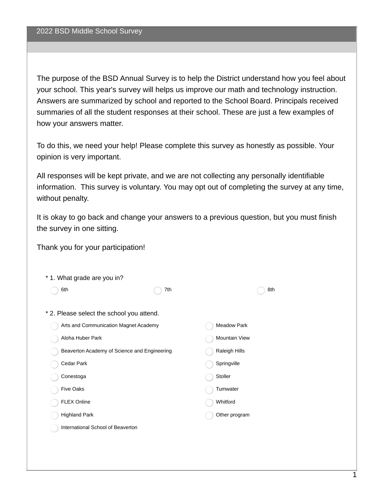The purpose of the BSD Annual Survey is to help the District understand how you feel about your school. This year's survey will helps us improve our math and technology instruction. Answers are summarized by school and reported to the School Board. Principals received summaries of all the student responses at their school. These are just a few examples of how your answers matter.

To do this, we need your help! Please complete this survey as honestly as possible. Your opinion is very important.

All responses will be kept private, and we are not collecting any personally identifiable information. This survey is voluntary. You may opt out of completing the survey at any time, without penalty.

It is okay to go back and change your answers to a previous question, but you must finish the survey in one sitting.

Thank you for your participation!

| * 1. What grade are you in?                  |     |                    |  |
|----------------------------------------------|-----|--------------------|--|
| 6th                                          | 7th | 8th                |  |
|                                              |     |                    |  |
| * 2. Please select the school you attend.    |     |                    |  |
| Arts and Communication Magnet Academy        |     | <b>Meadow Park</b> |  |
| Aloha Huber Park                             |     | Mountain View      |  |
| Beaverton Academy of Science and Engineering |     | Raleigh Hills      |  |
| Cedar Park                                   |     | Springville        |  |
| Conestoga                                    |     | Stoller            |  |
| <b>Five Oaks</b>                             |     | Tumwater           |  |
| <b>FLEX Online</b>                           |     | Whitford           |  |
| <b>Highland Park</b>                         |     | Other program      |  |
| International School of Beaverton            |     |                    |  |
|                                              |     |                    |  |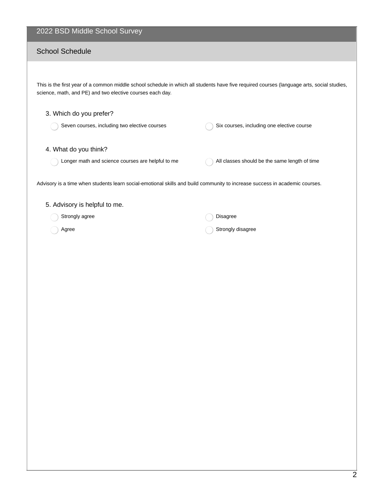#### 2022 BSD Middle School Survey

#### School Schedule

This is the first year of a common middle school schedule in which all students have five required courses (language arts, social studies, science, math, and PE) and two elective courses each day.

# 3. Which do you prefer? Seven courses, including two elective courses Six courses, including one elective course 4. What do you think? Longer math and science courses are helpful to me  $\bigcap$  All classes should be the same length of time Advisory is a time when students learn social-emotional skills and build community to increase success in academic courses. 5. Advisory is helpful to me. Strongly agree Agree Disagree Strongly disagree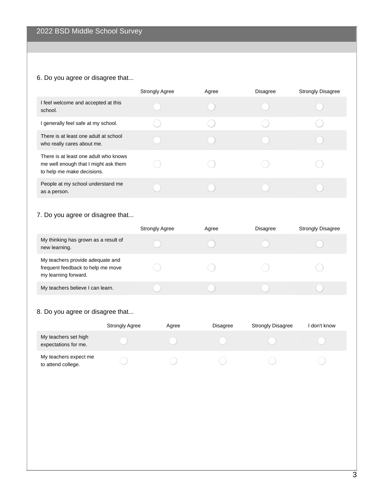# 6. Do you agree or disagree that...

|                                                                                                             | <b>Strongly Agree</b> | Agree | <b>Disagree</b> | <b>Strongly Disagree</b> |
|-------------------------------------------------------------------------------------------------------------|-----------------------|-------|-----------------|--------------------------|
| I feel welcome and accepted at this<br>school.                                                              |                       |       |                 |                          |
| I generally feel safe at my school.                                                                         |                       |       |                 |                          |
| There is at least one adult at school<br>who really cares about me.                                         |                       |       |                 |                          |
| There is at least one adult who knows<br>me well enough that I might ask them<br>to help me make decisions. |                       |       |                 |                          |
| People at my school understand me<br>as a person.                                                           |                       |       |                 |                          |

#### 7. Do you agree or disagree that...

|                                                                                               | <b>Strongly Agree</b> | Agree | <b>Disagree</b> | <b>Strongly Disagree</b> |
|-----------------------------------------------------------------------------------------------|-----------------------|-------|-----------------|--------------------------|
| My thinking has grown as a result of<br>new learning.                                         |                       |       |                 |                          |
| My teachers provide adequate and<br>frequent feedback to help me move<br>my learning forward. |                       |       |                 |                          |
| My teachers believe I can learn.                                                              |                       |       |                 |                          |

# 8. Do you agree or disagree that...

|                                              | <b>Strongly Agree</b> | Agree | <b>Disagree</b> | <b>Strongly Disagree</b> | don't know |
|----------------------------------------------|-----------------------|-------|-----------------|--------------------------|------------|
| My teachers set high<br>expectations for me. |                       |       |                 |                          |            |
| My teachers expect me<br>to attend college.  |                       |       |                 |                          |            |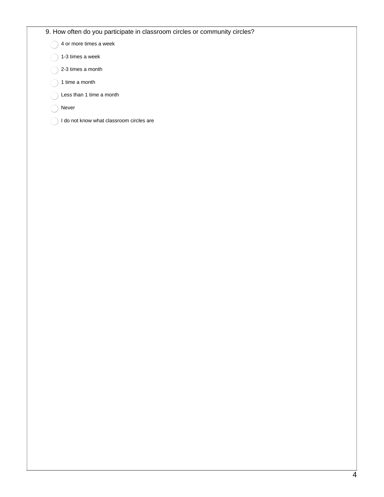#### 9. How often do you participate in classroom circles or community circles?

 $\bigcap$  4 or more times a week

- 1-3 times a week
- 2-3 times a month
- $\bigcap$  1 time a month
- Less than 1 time a month
- Never
- I do not know what classroom circles are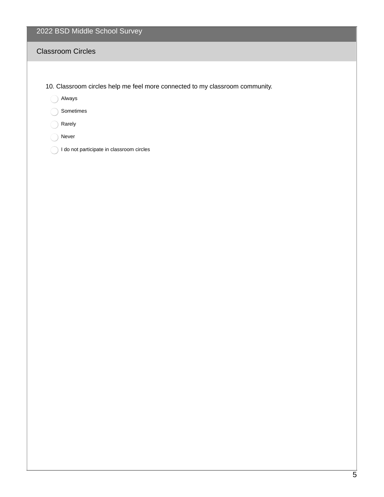# 2022 BSD Middle School Survey

#### Classroom Circles

- 10. Classroom circles help me feel more connected to my classroom community.
	- Always

Sometimes

- Rarely
- ◯ Never
- 1 do not participate in classroom circles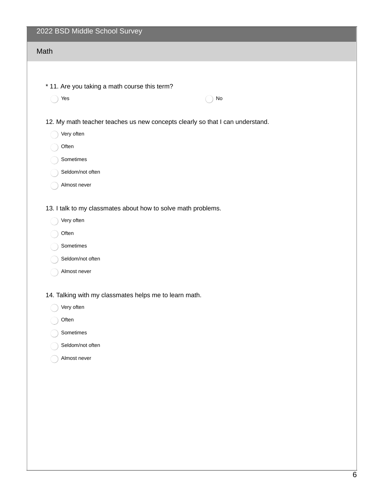| 2022 BSD Middle School Survey                                                 |
|-------------------------------------------------------------------------------|
| Math                                                                          |
|                                                                               |
| * 11. Are you taking a math course this term?                                 |
| Yes<br>No                                                                     |
|                                                                               |
| 12. My math teacher teaches us new concepts clearly so that I can understand. |
| Very often                                                                    |
| Often                                                                         |
| Sometimes                                                                     |
| Seldom/not often                                                              |
| Almost never                                                                  |
| 13. I talk to my classmates about how to solve math problems.                 |
| Very often                                                                    |
| Often                                                                         |
| Sometimes                                                                     |
| Seldom/not often                                                              |
| Almost never                                                                  |
|                                                                               |
| 14. Talking with my classmates helps me to learn math.<br>Very often          |
| Often                                                                         |
| Sometimes                                                                     |
| Seldom/not often                                                              |
| Almost never                                                                  |
|                                                                               |
|                                                                               |
|                                                                               |
|                                                                               |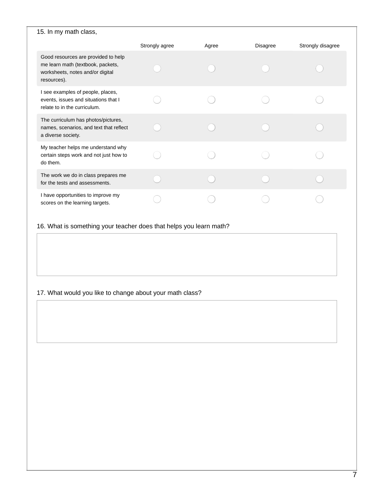| 15. In my math class,                                                                                                       |                |       |          |                   |  |  |
|-----------------------------------------------------------------------------------------------------------------------------|----------------|-------|----------|-------------------|--|--|
|                                                                                                                             | Strongly agree | Agree | Disagree | Strongly disagree |  |  |
| Good resources are provided to help<br>me learn math (textbook, packets,<br>worksheets, notes and/or digital<br>resources). |                |       |          |                   |  |  |
| I see examples of people, places,<br>events, issues and situations that I<br>relate to in the curriculum.                   |                |       |          |                   |  |  |
| The curriculum has photos/pictures,<br>names, scenarios, and text that reflect<br>a diverse society.                        |                |       |          |                   |  |  |
| My teacher helps me understand why<br>certain steps work and not just how to<br>do them.                                    |                |       |          |                   |  |  |
| The work we do in class prepares me<br>for the tests and assessments.                                                       |                |       |          |                   |  |  |
| I have opportunities to improve my<br>scores on the learning targets.                                                       |                |       |          |                   |  |  |

16. What is something your teacher does that helps you learn math?

#### 17. What would you like to change about your math class?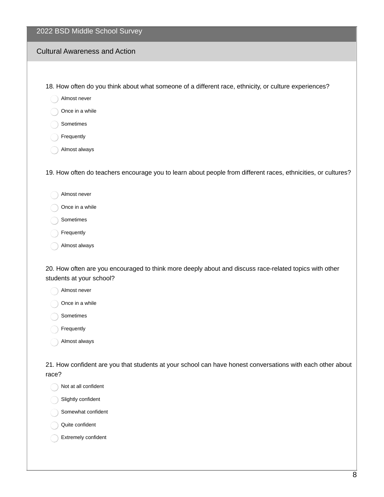| 2022 BSD Middle School Survey                                                                                                                      |
|----------------------------------------------------------------------------------------------------------------------------------------------------|
| <b>Cultural Awareness and Action</b>                                                                                                               |
|                                                                                                                                                    |
| 18. How often do you think about what someone of a different race, ethnicity, or culture experiences?                                              |
| Almost never                                                                                                                                       |
| Once in a while                                                                                                                                    |
| Sometimes                                                                                                                                          |
| Frequently                                                                                                                                         |
| Almost always                                                                                                                                      |
| 19. How often do teachers encourage you to learn about people from different races, ethnicities, or cultures?                                      |
| Almost never                                                                                                                                       |
| Once in a while                                                                                                                                    |
| Sometimes                                                                                                                                          |
| Frequently                                                                                                                                         |
| Almost always                                                                                                                                      |
| 20. How often are you encouraged to think more deeply about and discuss race-related topics with other<br>students at your school?<br>Almost never |

Once in a while

Sometimes

Frequently

Almost always

21. How confident are you that students at your school can have honest conversations with each other about race?

Not at all confident

Slightly confident

Somewhat confident

Quite confident

Extremely confident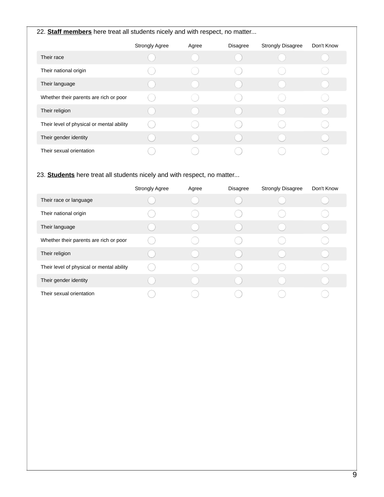#### 22. **Staff members** here treat all students nicely and with respect, no matter...

|                                           | <b>Strongly Agree</b> | Agree | Disagree | <b>Strongly Disagree</b> | Don't Know |
|-------------------------------------------|-----------------------|-------|----------|--------------------------|------------|
| Their race                                |                       |       |          |                          |            |
| Their national origin                     |                       |       |          |                          |            |
| Their language                            |                       |       |          |                          |            |
| Whether their parents are rich or poor    |                       |       |          |                          |            |
| Their religion                            |                       |       |          |                          |            |
| Their level of physical or mental ability |                       |       |          |                          |            |
| Their gender identity                     |                       |       |          |                          |            |
| Their sexual orientation                  |                       |       |          |                          |            |

#### 23. **Students** here treat all students nicely and with respect, no matter...

|                                           | <b>Strongly Agree</b> | Agree | <b>Disagree</b> | <b>Strongly Disagree</b> | Don't Know |
|-------------------------------------------|-----------------------|-------|-----------------|--------------------------|------------|
| Their race or language                    |                       |       |                 |                          |            |
| Their national origin                     |                       |       |                 |                          |            |
| Their language                            |                       |       |                 |                          |            |
| Whether their parents are rich or poor    |                       |       |                 |                          |            |
| Their religion                            |                       |       |                 |                          |            |
| Their level of physical or mental ability |                       |       |                 |                          |            |
| Their gender identity                     |                       |       |                 |                          |            |
| Their sexual orientation                  |                       |       |                 |                          |            |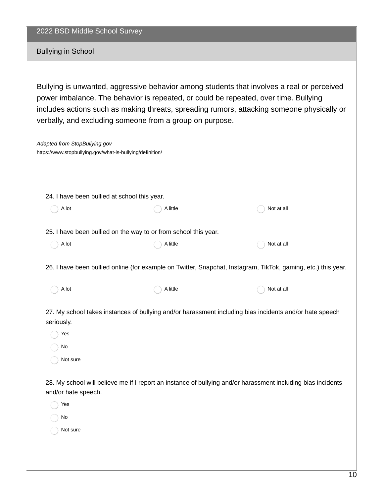| 2022 BSD Middle School Survey |  |  |  |
|-------------------------------|--|--|--|
|-------------------------------|--|--|--|

Bullying in School

Bullying is unwanted, aggressive behavior among students that involves a real or perceived power imbalance. The behavior is repeated, or could be repeated, over time. Bullying includes actions such as making threats, spreading rumors, attacking someone physically or verbally, and excluding someone from a group on purpose.

| Adapted from StopBullying.gov<br>https://www.stopbullying.gov/what-is-bullying/definition/ |                                                                 |                                                                                                               |
|--------------------------------------------------------------------------------------------|-----------------------------------------------------------------|---------------------------------------------------------------------------------------------------------------|
|                                                                                            |                                                                 |                                                                                                               |
| 24. I have been bullied at school this year.                                               |                                                                 |                                                                                                               |
| A lot                                                                                      | A little                                                        | Not at all                                                                                                    |
|                                                                                            | 25. I have been bullied on the way to or from school this year. |                                                                                                               |
| A lot                                                                                      | A little                                                        | Not at all                                                                                                    |
|                                                                                            |                                                                 | 26. I have been bullied online (for example on Twitter, Snapchat, Instagram, TikTok, gaming, etc.) this year. |
| A lot                                                                                      | A little                                                        | Not at all                                                                                                    |
| seriously.                                                                                 |                                                                 | 27. My school takes instances of bullying and/or harassment including bias incidents and/or hate speech       |
| Yes                                                                                        |                                                                 |                                                                                                               |
| No                                                                                         |                                                                 |                                                                                                               |
| Not sure                                                                                   |                                                                 |                                                                                                               |
|                                                                                            |                                                                 | 28. My school will believe me if I report an instance of bullying and/or harassment including bias incidents  |

Yes No Not sure

and/or hate speech.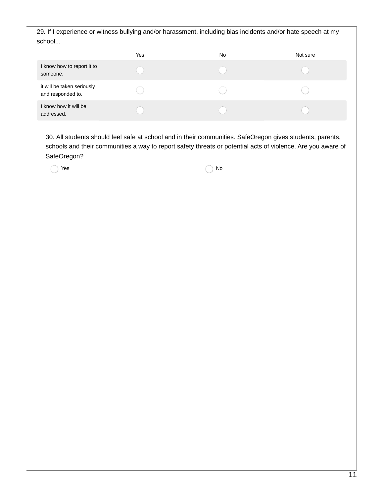29. If I experience or witness bullying and/or harassment, including bias incidents and/or hate speech at my school...

|                                                 | Yes | No | Not sure |
|-------------------------------------------------|-----|----|----------|
| I know how to report it to<br>someone.          |     |    |          |
| it will be taken seriously<br>and responded to. |     |    |          |
| I know how it will be<br>addressed.             |     |    |          |

30. All students should feel safe at school and in their communities. SafeOregon gives students, parents, schools and their communities a way to report safety threats or potential acts of violence. Are you aware of SafeOregon?

 $Yes$  No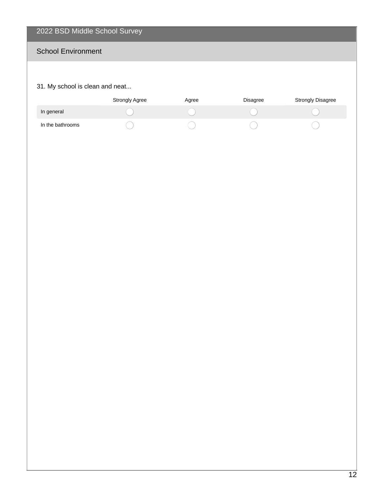# 2022 BSD Middle School Survey

# School Environment

#### 31. My school is clean and neat...

|                  | Strongly Agree | Agree | <b>Disagree</b> | <b>Strongly Disagree</b> |
|------------------|----------------|-------|-----------------|--------------------------|
| In general       |                |       |                 |                          |
| In the bathrooms |                |       |                 |                          |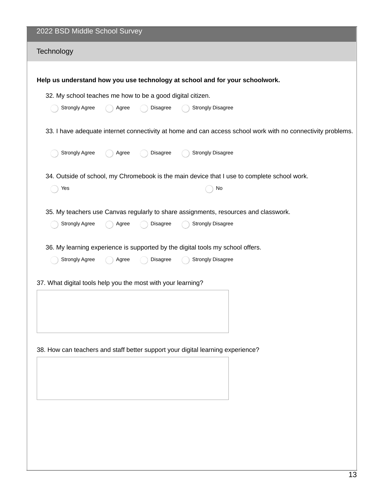| 2022 BSD Middle School Survey                                                                                                                                                                                                                                                                                                                                                      |  |  |  |  |  |
|------------------------------------------------------------------------------------------------------------------------------------------------------------------------------------------------------------------------------------------------------------------------------------------------------------------------------------------------------------------------------------|--|--|--|--|--|
| Technology                                                                                                                                                                                                                                                                                                                                                                         |  |  |  |  |  |
| Help us understand how you use technology at school and for your schoolwork.                                                                                                                                                                                                                                                                                                       |  |  |  |  |  |
| 32. My school teaches me how to be a good digital citizen.                                                                                                                                                                                                                                                                                                                         |  |  |  |  |  |
| <b>Strongly Disagree</b><br><b>Strongly Agree</b><br>Disagree<br>Agree                                                                                                                                                                                                                                                                                                             |  |  |  |  |  |
| 33. I have adequate internet connectivity at home and can access school work with no connectivity problems.                                                                                                                                                                                                                                                                        |  |  |  |  |  |
| <b>Strongly Agree</b><br><b>Strongly Disagree</b><br>Disagree<br>Agree                                                                                                                                                                                                                                                                                                             |  |  |  |  |  |
| 34. Outside of school, my Chromebook is the main device that I use to complete school work.                                                                                                                                                                                                                                                                                        |  |  |  |  |  |
| Yes<br>No                                                                                                                                                                                                                                                                                                                                                                          |  |  |  |  |  |
| 35. My teachers use Canvas regularly to share assignments, resources and classwork.<br>Strongly Agree<br>Disagree<br><b>Strongly Disagree</b><br>Agree<br>36. My learning experience is supported by the digital tools my school offers.<br><b>Strongly Agree</b><br>Disagree<br><b>Strongly Disagree</b><br>Agree<br>37. What digital tools help you the most with your learning? |  |  |  |  |  |
|                                                                                                                                                                                                                                                                                                                                                                                    |  |  |  |  |  |
| 38. How can teachers and staff better support your digital learning experience?                                                                                                                                                                                                                                                                                                    |  |  |  |  |  |
|                                                                                                                                                                                                                                                                                                                                                                                    |  |  |  |  |  |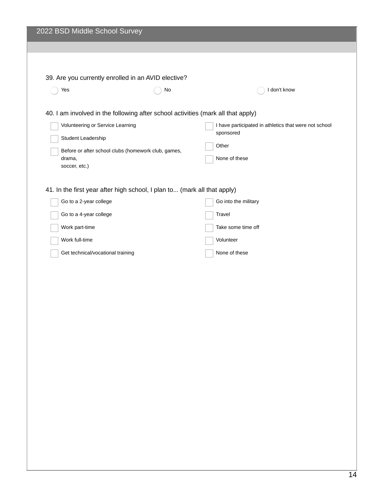|                                   | 39. Are you currently enrolled in an AVID elective?                      |                                                                                  |
|-----------------------------------|--------------------------------------------------------------------------|----------------------------------------------------------------------------------|
| Yes                               | No                                                                       | I don't know                                                                     |
|                                   |                                                                          | 40. I am involved in the following after school activities (mark all that apply) |
| Volunteering or Service Learning  |                                                                          | I have participated in athletics that were not school<br>sponsored               |
| Student Leadership                |                                                                          | Other                                                                            |
| drama,<br>soccer, etc.)           | Before or after school clubs (homework club, games,                      | None of these                                                                    |
|                                   | 41. In the first year after high school, I plan to (mark all that apply) |                                                                                  |
| Go to a 2-year college            |                                                                          | Go into the military                                                             |
| Go to a 4-year college            |                                                                          | Travel                                                                           |
| Work part-time                    |                                                                          | Take some time off                                                               |
| Work full-time                    |                                                                          | Volunteer                                                                        |
| Get technical/vocational training |                                                                          | None of these                                                                    |
|                                   |                                                                          |                                                                                  |
|                                   |                                                                          |                                                                                  |
|                                   |                                                                          |                                                                                  |
|                                   |                                                                          |                                                                                  |
|                                   |                                                                          |                                                                                  |
|                                   |                                                                          |                                                                                  |
|                                   |                                                                          |                                                                                  |
|                                   |                                                                          |                                                                                  |
|                                   |                                                                          |                                                                                  |
|                                   |                                                                          |                                                                                  |
|                                   |                                                                          |                                                                                  |
|                                   |                                                                          |                                                                                  |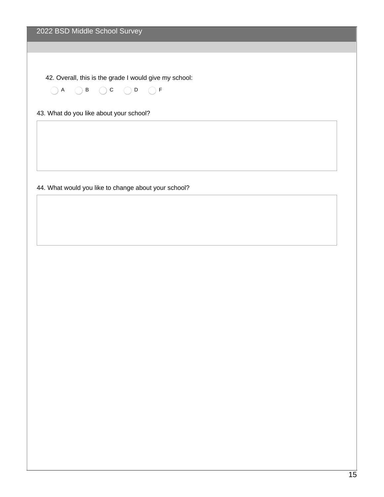42. Overall, this is the grade I would give my school:

 $(A \cap B \cap C \cap D)$ 

43. What do you like about your school?

44. What would you like to change about your school?